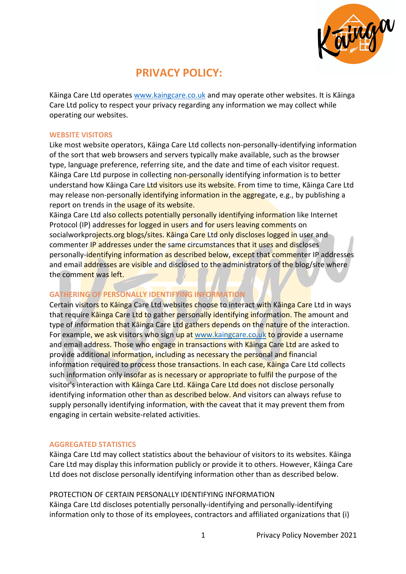

# **PRIVACY POLICY:**

Kāinga Care Ltd operates www.kaingcare.co.uk and may operate other websites. It is Kāinga Care Ltd policy to respect your privacy regarding any information we may collect while operating our websites.

#### **WEBSITE VISITORS**

Like most website operators, Kāinga Care Ltd collects non-personally-identifying information of the sort that web browsers and servers typically make available, such as the browser type, language preference, referring site, and the date and time of each visitor request. Kāinga Care Ltd purpose in collecting non-personally identifying information is to better understand how Kāinga Care Ltd visitors use its website. From time to time, Kāinga Care Ltd may release non-personally identifying information in the aggregate, e.g., by publishing a report on trends in the usage of its website.

Kāinga Care Ltd also collects potentially personally identifying information like Internet Protocol (IP) addresses for logged in users and for users leaving comments on socialworkprojects.org blogs/sites. Kāinga Care Ltd only discloses logged in user and commenter IP addresses under the same circumstances that it uses and discloses personally-identifying information as described below, except that commenter IP addresses and email addresses are visible and disclosed to the administrators of the blog/site where the comment was left.

# **GATHERING OF PERSONALLY IDENTIFYING INFORMATION**

Certain visitors to Kāinga Care Ltd websites choose to interact with Kāinga Care Ltd in ways that require Kainga Care Ltd to gather personally identifying information. The amount and type of information that Kainga Care Ltd gathers depends on the nature of the interaction. For example, we ask visitors who sign up at www.kaingcare.co.uk to provide a username and email address. Those who engage in transactions with Kainga Care Ltd are asked to provide additional information, including as necessary the personal and financial information required to process those transactions. In each case, Kāinga Care Ltd collects such information only insofar as is necessary or appropriate to fulfil the purpose of the visitor's interaction with Kāinga Care Ltd. Kāinga Care Ltd does not disclose personally identifying information other than as described below. And visitors can always refuse to supply personally identifying information, with the caveat that it may prevent them from engaging in certain website-related activities.

## **AGGREGATED STATISTICS**

Kāinga Care Ltd may collect statistics about the behaviour of visitors to its websites. Kāinga Care Ltd may display this information publicly or provide it to others. However, Kāinga Care Ltd does not disclose personally identifying information other than as described below.

## PROTECTION OF CERTAIN PERSONALLY IDENTIFYING INFORMATION

Kāinga Care Ltd discloses potentially personally-identifying and personally-identifying information only to those of its employees, contractors and affiliated organizations that (i)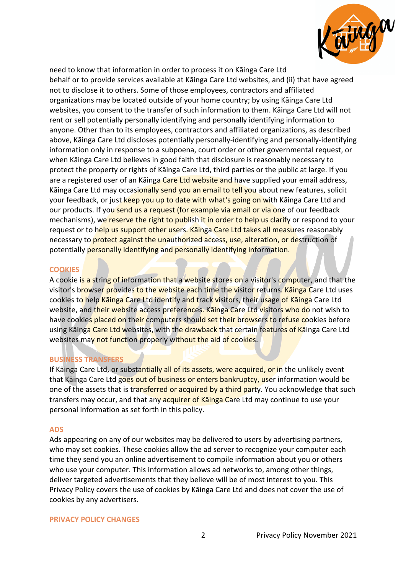

need to know that information in order to process it on Kāinga Care Ltd behalf or to provide services available at Kāinga Care Ltd websites, and (ii) that have agreed not to disclose it to others. Some of those employees, contractors and affiliated organizations may be located outside of your home country; by using Kāinga Care Ltd websites, you consent to the transfer of such information to them. Kāinga Care Ltd will not rent or sell potentially personally identifying and personally identifying information to anyone. Other than to its employees, contractors and affiliated organizations, as described above, Kāinga Care Ltd discloses potentially personally-identifying and personally-identifying information only in response to a subpoena, court order or other governmental request, or when Kāinga Care Ltd believes in good faith that disclosure is reasonably necessary to protect the property or rights of Kāinga Care Ltd, third parties or the public at large. If you are a registered user of an Kāinga Care Ltd website and have supplied your email address, Kāinga Care Ltd may occasionally send you an email to tell you about new features, solicit your feedback, or just keep you up to date with what's going on with Kāinga Care Ltd and our products. If you send us a request (for example via email or via one of our feedback mechanisms), we reserve the right to publish it in order to help us clarify or respond to your request or to help us support other users. Kainga Care Ltd takes all measures reasonably necessary to protect against the unauthorized access, use, alteration, or destruction of potentially personally identifying and personally identifying information.

## **COOKIES**

A cookie is a string of information that a website stores on a visitor's computer, and that the visitor's browser provides to the website each time the visitor returns. Kainga Care Ltd uses cookies to help Kāinga Care Ltd identify and track visitors, their usage of Kāinga Care Ltd website, and their website access preferences. Kainga Care Ltd visitors who do not wish to have cookies placed on their computers should set their browsers to refuse cookies before using Kāinga Care Ltd websites, with the drawback that certain features of Kāinga Care Ltd websites may not function properly without the aid of cookies.

## **BUSINESS TRANSFERS**

If Kainga Care Ltd, or substantially all of its assets, were acquired, or in the unlikely event that Kāinga Care Ltd goes out of business or enters bankruptcy, user information would be one of the assets that is transferred or acquired by a third party. You acknowledge that such transfers may occur, and that any acquirer of Kainga Care Ltd may continue to use your personal information as set forth in this policy.

#### **ADS**

Ads appearing on any of our websites may be delivered to users by advertising partners, who may set cookies. These cookies allow the ad server to recognize your computer each time they send you an online advertisement to compile information about you or others who use your computer. This information allows ad networks to, among other things, deliver targeted advertisements that they believe will be of most interest to you. This Privacy Policy covers the use of cookies by Kāinga Care Ltd and does not cover the use of cookies by any advertisers.

#### **PRIVACY POLICY CHANGES**